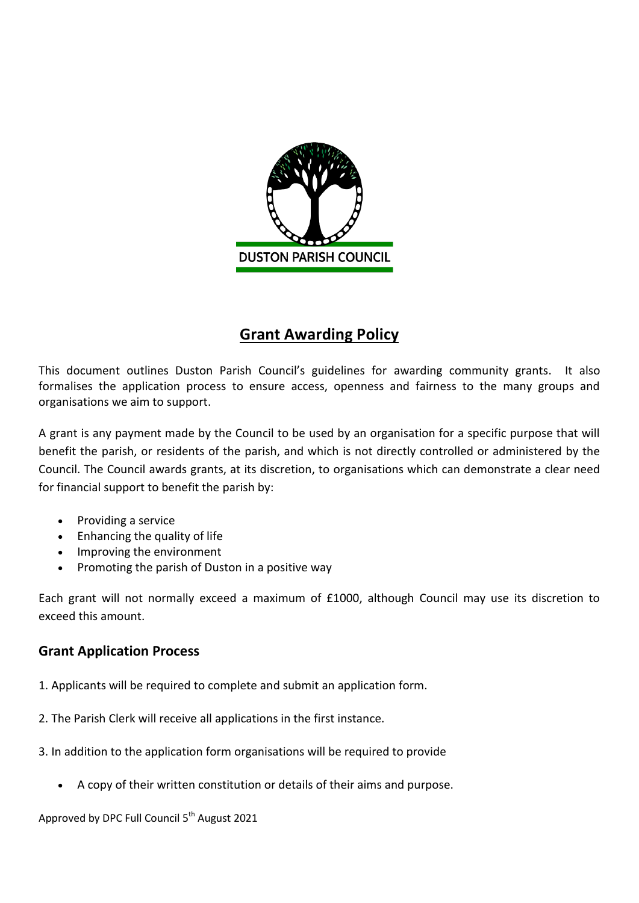

# **Grant Awarding Policy**

This document outlines Duston Parish Council's guidelines for awarding community grants. It also formalises the application process to ensure access, openness and fairness to the many groups and organisations we aim to support.

A grant is any payment made by the Council to be used by an organisation for a specific purpose that will benefit the parish, or residents of the parish, and which is not directly controlled or administered by the Council. The Council awards grants, at its discretion, to organisations which can demonstrate a clear need for financial support to benefit the parish by:

- Providing a service
- Enhancing the quality of life
- Improving the environment
- Promoting the parish of Duston in a positive way

Each grant will not normally exceed a maximum of £1000, although Council may use its discretion to exceed this amount.

## **Grant Application Process**

- 1. Applicants will be required to complete and submit an application form.
- 2. The Parish Clerk will receive all applications in the first instance.
- 3. In addition to the application form organisations will be required to provide
	- A copy of their written constitution or details of their aims and purpose.

Approved by DPC Full Council 5<sup>th</sup> August 2021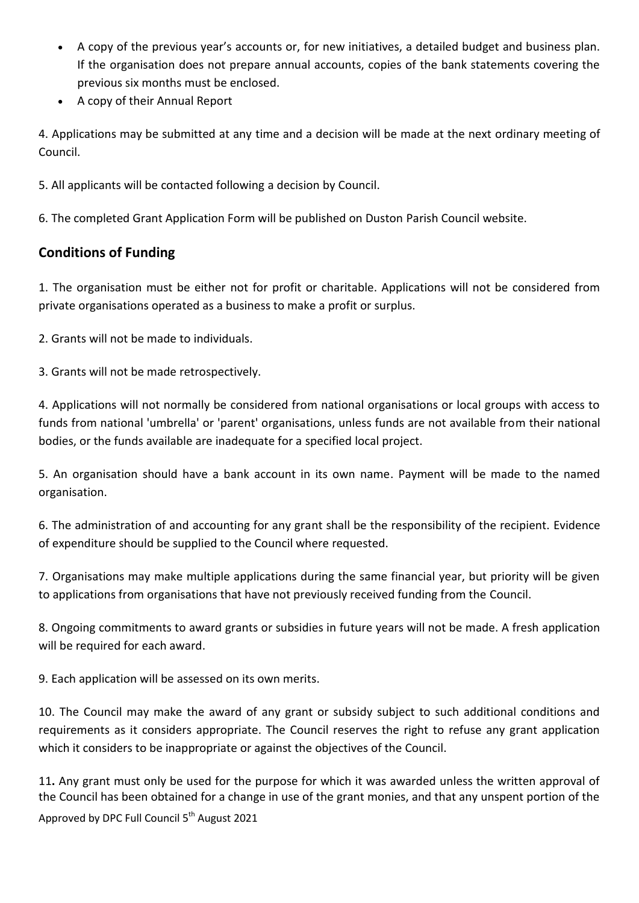- A copy of the previous year's accounts or, for new initiatives, a detailed budget and business plan. If the organisation does not prepare annual accounts, copies of the bank statements covering the previous six months must be enclosed.
- A copy of their Annual Report

4. Applications may be submitted at any time and a decision will be made at the next ordinary meeting of Council.

5. All applicants will be contacted following a decision by Council.

6. The completed Grant Application Form will be published on Duston Parish Council website.

## **Conditions of Funding**

1. The organisation must be either not for profit or charitable. Applications will not be considered from private organisations operated as a business to make a profit or surplus.

2. Grants will not be made to individuals.

3. Grants will not be made retrospectively.

4. Applications will not normally be considered from national organisations or local groups with access to funds from national 'umbrella' or 'parent' organisations, unless funds are not available from their national bodies, or the funds available are inadequate for a specified local project.

5. An organisation should have a bank account in its own name. Payment will be made to the named organisation.

6. The administration of and accounting for any grant shall be the responsibility of the recipient. Evidence of expenditure should be supplied to the Council where requested.

7. Organisations may make multiple applications during the same financial year, but priority will be given to applications from organisations that have not previously received funding from the Council.

8. Ongoing commitments to award grants or subsidies in future years will not be made. A fresh application will be required for each award.

9. Each application will be assessed on its own merits.

10. The Council may make the award of any grant or subsidy subject to such additional conditions and requirements as it considers appropriate. The Council reserves the right to refuse any grant application which it considers to be inappropriate or against the objectives of the Council.

Approved by DPC Full Council 5<sup>th</sup> August 2021 11**.** Any grant must only be used for the purpose for which it was awarded unless the written approval of the Council has been obtained for a change in use of the grant monies, and that any unspent portion of the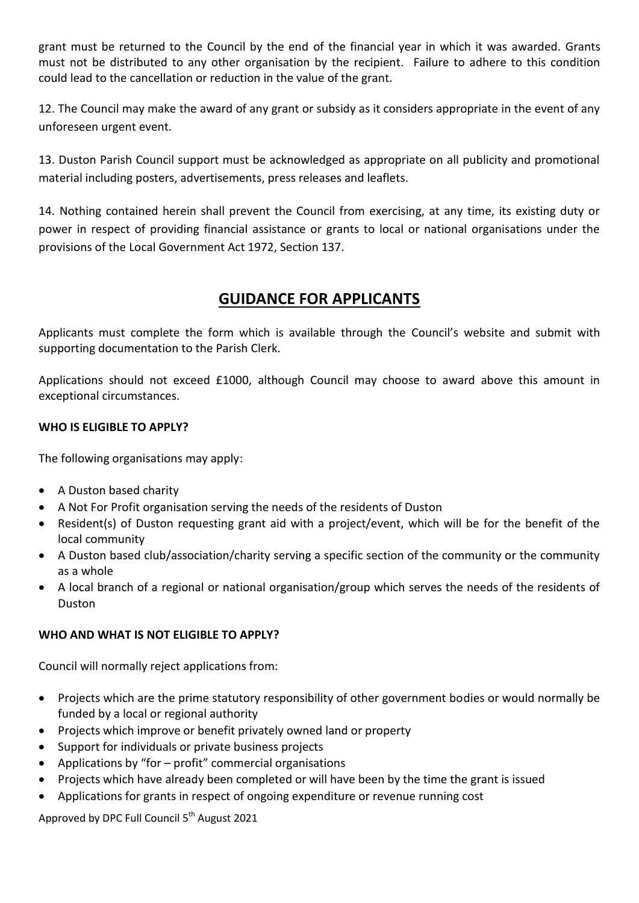grant must be returned to the Council by the end of the financial year in which it was awarded. Grants must not be distributed to any other organisation by the recipient. Failure to adhere to this condition could lead to the cancellation or reduction in the value of the grant.

12. The Council may make the award of any grant or subsidy as it considers appropriate in the event of any unforeseen urgent event.

13. Duston Parish Council support must be acknowledged as appropriate on all publicity and promotional material including posters, advertisements, press releases and leaflets.

14. Nothing contained herein shall prevent the Council from exercising, at any time, its existing duty or power in respect of providing financial assistance or grants to local or national organisations under the provisions of the Local Government Act 1972, Section 137.

## **GUIDANCE FOR APPLICANTS**

Applicants must complete the form which is available through the Council's website and submit with supporting documentation to the Parish Clerk.

Applications should not exceed £1000, although Council may choose to award above this amount in exceptional circumstances.

#### **WHO IS ELIGIBLE TO APPLY?**

The following organisations may apply:

- A Duston based charity
- A Not For Profit organisation serving the needs of the residents of Duston
- Resident(s) of Duston requesting grant aid with a project/event, which will be for the benefit of the local community
- A Duston based club/association/charity serving a specific section of the community or the community as a whole
- A local branch of a regional or national organisation/group which serves the needs of the residents of Duston

#### **WHO AND WHAT IS NOT ELIGIBLE TO APPLY?**

Council will normally reject applications from:

- Projects which are the prime statutory responsibility of other government bodies or would normally be funded by a local or regional authority
- Projects which improve or benefit privately owned land or property
- Support for individuals or private business projects
- Applications by "for profit" commercial organisations
- Projects which have already been completed or will have been by the time the grant is issued
- Applications for grants in respect of ongoing expenditure or revenue running cost

Approved by DPC Full Council 5<sup>th</sup> August 2021